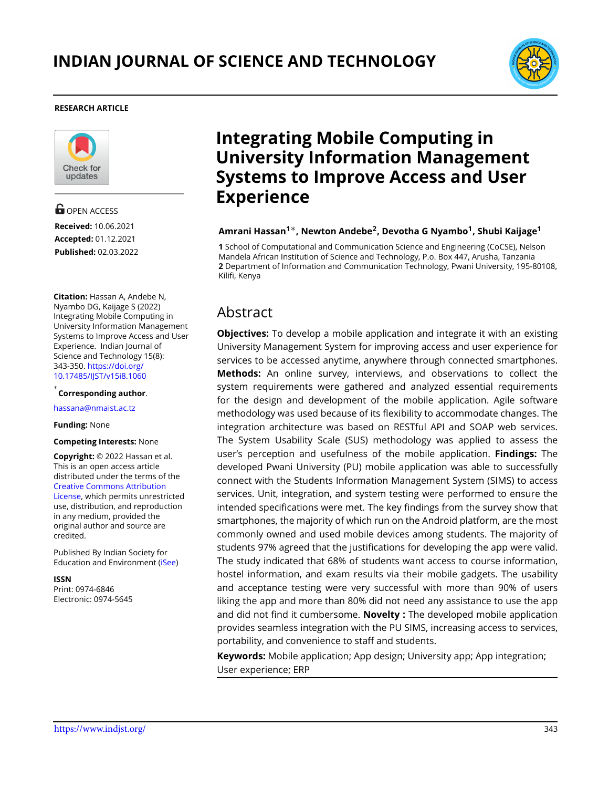

#### **RESEARCH ARTICLE**



**G** OPEN ACCESS **Received:** 10.06.2021 **Accepted:** 01.12.2021 **Published:** 02.03.2022

**Citation:** Hassan A, Andebe N, Nyambo DG, Kaijage S (2022) Integrating Mobile Computing in University Information Management Systems to Improve Access and User Experience. Indian Journal of Science and Technology 15(8): 343-350. [https://doi.org/](https://doi.org/10.17485/IJST/v15i8.1060) [10.17485/IJST/v15i8.1060](https://doi.org/10.17485/IJST/v15i8.1060)

*∗* **Corresponding author**.

[hassana@nmaist.ac.tz](hassana@nm\discretionary {-}{}{}aist.ac.tz)

#### **Funding:** None

**Competing Interests:** None

**Copyright:** © 2022 Hassan et al. This is an open access article distributed under the terms of the [Creative Commons Attribution](https://creativecommons.org/licenses/by/4.0/) [License,](https://creativecommons.org/licenses/by/4.0/) which permits unrestricted use, distribution, and reproduction in any medium, provided the original author and source are credited.

Published By Indian Society for Education and Environment([iSee\)](www.iseeadyar.org.)

**ISSN** Print: 0974-6846 Electronic: 0974-5645

# **Integrating Mobile Computing in University Information Management Systems to Improve Access and User Experience**

#### **Amrani Hassan<sup>1</sup>***∗***, Newton Andebe<sup>2</sup> , Devotha G Nyambo<sup>1</sup> , Shubi Kaijage<sup>1</sup>**

**1** School of Computational and Communication Science and Engineering (CoCSE), Nelson Mandela African Institution of Science and Technology, P.o. Box 447, Arusha, Tanzania **2** Department of Information and Communication Technology, Pwani University, 195-80108, Kilifi, Kenya

# Abstract

**Objectives:** To develop a mobile application and integrate it with an existing University Management System for improving access and user experience for services to be accessed anytime, anywhere through connected smartphones. **Methods:** An online survey, interviews, and observations to collect the system requirements were gathered and analyzed essential requirements for the design and development of the mobile application. Agile software methodology was used because of its flexibility to accommodate changes. The integration architecture was based on RESTful API and SOAP web services. The System Usability Scale (SUS) methodology was applied to assess the user's perception and usefulness of the mobile application. **Findings:** The developed Pwani University (PU) mobile application was able to successfully connect with the Students Information Management System (SIMS) to access services. Unit, integration, and system testing were performed to ensure the intended specifications were met. The key findings from the survey show that smartphones, the majority of which run on the Android platform, are the most commonly owned and used mobile devices among students. The majority of students 97% agreed that the justifications for developing the app were valid. The study indicated that 68% of students want access to course information, hostel information, and exam results via their mobile gadgets. The usability and acceptance testing were very successful with more than 90% of users liking the app and more than 80% did not need any assistance to use the app and did not find it cumbersome. **Novelty :** The developed mobile application provides seamless integration with the PU SIMS, increasing access to services, portability, and convenience to staff and students.

**Keywords:** Mobile application; App design; University app; App integration; User experience; ERP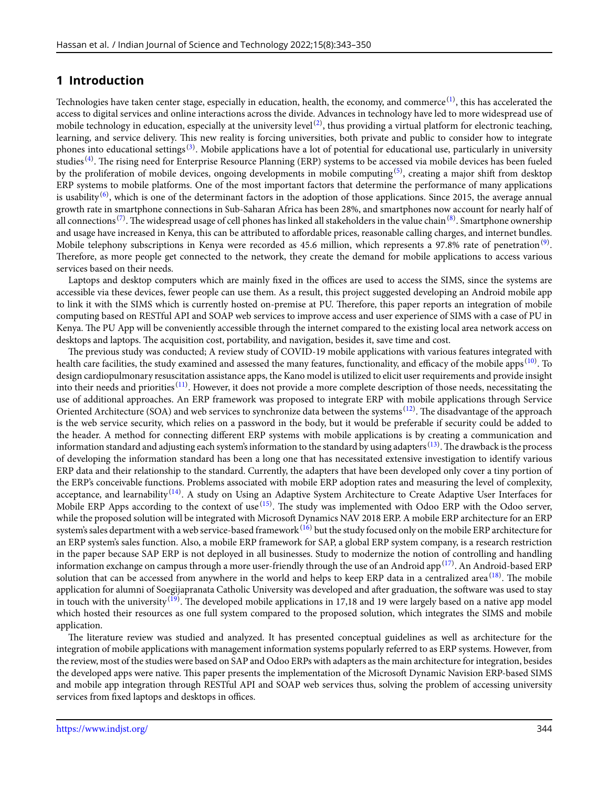## **1 Introduction**

Technologies have taken center stage, especially in education, health, the economy, and commerce  $^{(1)}$  $^{(1)}$  $^{(1)}$ , this has accelerated the access to digital services and online interactions across the divide. Advances in technology have led to more widespread use of mobile technology in education, especially at the university level  $^{(2)}$  $^{(2)}$  $^{(2)}$ , thus providing a virtual platform for electronic teaching, learning, and service delivery. This new reality is forcing universities, both private and public to consider how to integrate phones into educational settings<sup>[\(3\)](#page-7-2)</sup>. Mobile applications have a lot of potential for educational use, particularly in university studies<sup>([4](#page-7-3))</sup>. The rising need for Enterprise Resource Planning (ERP) systems to be accessed via mobile devices has been fueled by the proliferation of mobile devices, ongoing developments in mobile computing  $^{(5)}$  $^{(5)}$  $^{(5)}$ , creating a major shift from desktop ERP systems to mobile platforms. One of the most important factors that determine the performance of many applications is usability $^{(6)}$  $^{(6)}$  $^{(6)}$ , which is one of the determinant factors in the adoption of those applications. Since 2015, the average annual growth rate in smartphone connections in Sub-Saharan Africa has been 28%, and smartphones now account for nearly half of all connections <sup>([7\)](#page-7-6)</sup>. The widespread usage of cell phones has linked all stakeholders in the value chain <sup>[\(8\)](#page-7-7)</sup>. Smartphone ownership and usage have increased in Kenya, this can be attributed to affordable prices, reasonable calling charges, and internet bundles. Mobile telephony subscriptions in Kenya were recorded as 45.6 million, which represents a 97.8% rate of penetration $^{(9)}$  $^{(9)}$  $^{(9)}$ . Therefore, as more people get connected to the network, they create the demand for mobile applications to access various services based on their needs.

Laptops and desktop computers which are mainly fixed in the offices are used to access the SIMS, since the systems are accessible via these devices, fewer people can use them. As a result, this project suggested developing an Android mobile app to link it with the SIMS which is currently hosted on-premise at PU. Therefore, this paper reports an integration of mobile computing based on RESTful API and SOAP web services to improve access and user experience of SIMS with a case of PU in Kenya. The PU App will be conveniently accessible through the internet compared to the existing local area network access on desktops and laptops. The acquisition cost, portability, and navigation, besides it, save time and cost.

The previous study was conducted; A review study of COVID-19 mobile applications with various features integrated with health care facilities, the study examined and assessed the many features, functionality, and efficacy of the mobile apps<sup>[\(10](#page-7-9))</sup>. To design cardiopulmonary resuscitation assistance apps, the Kano model is utilized to elicit user requirements and provide insight into their needs and priorities  $^{(11)}$  $^{(11)}$  $^{(11)}$ . However, it does not provide a more complete description of those needs, necessitating the use of additional approaches. An ERP framework was proposed to integrate ERP with mobile applications through Service Oriented Architecture (SOA) and web services to synchronize data between the systems <sup>[\(12](#page-7-11))</sup>. The disadvantage of the approach is the web service security, which relies on a password in the body, but it would be preferable if security could be added to the header. A method for connecting different ERP systems with mobile applications is by creating a communication and information standard and adjusting each system's information to the standard by using adapters  $^{(13)}$  $^{(13)}$  $^{(13)}$ . The drawback is the process of developing the information standard has been a long one that has necessitated extensive investigation to identify various ERP data and their relationship to the standard. Currently, the adapters that have been developed only cover a tiny portion of the ERP's conceivable functions. Problems associated with mobile ERP adoption rates and measuring the level of complexity, acceptance, and learnability<sup>[\(14](#page-7-13))</sup>. A study on Using an Adaptive System Architecture to Create Adaptive User Interfaces for Mobile ERP Apps according to the context of use<sup>([15\)](#page-7-14)</sup>. The study was implemented with Odoo ERP with the Odoo server, while the proposed solution will be integrated with Microsoft Dynamics NAV 2018 ERP. A mobile ERP architecture for an ERP system's sales department with a web service-based framework<sup>[\(16](#page-7-15))</sup> but the study focused only on the mobile ERP architecture for an ERP system's sales function. Also, a mobile ERP framework for SAP, a global ERP system company, is a research restriction in the paper because SAP ERP is not deployed in all businesses. Study to modernize the notion of controlling and handling information exchange on campus through a more user-friendly through the use of an Android app<sup>[\(17](#page-7-16))</sup>. An Android-based ERP solution that can be accessed from anywhere in the world and helps to keep ERP data in a centralized area<sup>[\(18\)](#page-7-17)</sup>. The mobile application for alumni of Soegijapranata Catholic University was developed and after graduation, the software was used to stay in touch with the university<sup>[\(19](#page-7-18))</sup>. The developed mobile applications in 17,18 and 19 were largely based on a native app model which hosted their resources as one full system compared to the proposed solution, which integrates the SIMS and mobile application.

The literature review was studied and analyzed. It has presented conceptual guidelines as well as architecture for the integration of mobile applications with management information systems popularly referred to as ERP systems. However, from the review, most of the studies were based on SAP and Odoo ERPs with adapters as the main architecture for integration, besides the developed apps were native. This paper presents the implementation of the Microsoft Dynamic Navision ERP-based SIMS and mobile app integration through RESTful API and SOAP web services thus, solving the problem of accessing university services from fixed laptops and desktops in offices.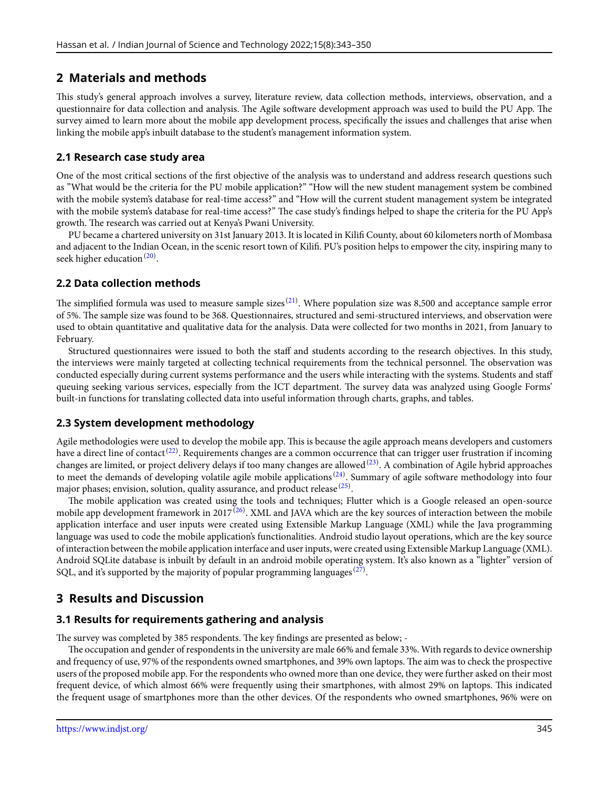### **2 Materials and methods**

This study's general approach involves a survey, literature review, data collection methods, interviews, observation, and a questionnaire for data collection and analysis. The Agile software development approach was used to build the PU App. The survey aimed to learn more about the mobile app development process, specifically the issues and challenges that arise when linking the mobile app's inbuilt database to the student's management information system.

### **2.1 Research case study area**

One of the most critical sections of the first objective of the analysis was to understand and address research questions such as "What would be the criteria for the PU mobile application?" "How will the new student management system be combined with the mobile system's database for real-time access?" and "How will the current student management system be integrated with the mobile system's database for real-time access?" The case study's findings helped to shape the criteria for the PU App's growth. The research was carried out at Kenya's Pwani University.

PU became a chartered university on 31st January 2013. It is located in Kilifi County, about 60 kilometers north of Mombasa and adjacent to the Indian Ocean, in the scenic resort town of Kilifi. PU's position helps to empower the city, inspiring many to seek higher education<sup>[\(20](#page-7-19))</sup>.

### **2.2 Data collection methods**

The simplified formula was used to measure sample sizes  $^{(21)}$  $^{(21)}$  $^{(21)}$ . Where population size was 8,500 and acceptance sample error of 5%. The sample size was found to be 368. Questionnaires, structured and semi-structured interviews, and observation were used to obtain quantitative and qualitative data for the analysis. Data were collected for two months in 2021, from January to February.

Structured questionnaires were issued to both the staff and students according to the research objectives. In this study, the interviews were mainly targeted at collecting technical requirements from the technical personnel. The observation was conducted especially during current systems performance and the users while interacting with the systems. Students and staff queuing seeking various services, especially from the ICT department. The survey data was analyzed using Google Forms' built-in functions for translating collected data into useful information through charts, graphs, and tables.

### **2.3 System development methodology**

Agile methodologies were used to develop the mobile app. This is because the agile approach means developers and customers have a direct line of contact<sup>[\(22](#page-7-21))</sup>. Requirements changes are a common occurrence that can trigger user frustration if incoming changes are limited, or project delivery delays if too many changes are allowed $^{(23)}$  $^{(23)}$  $^{(23)}$ . A combination of Agile hybrid approaches to meet the demands of developing volatile agile mobile applications<sup>[\(24\)](#page-7-23)</sup>. Summary of agile software methodology into four major phases; envision, solution, quality assurance, and product release  $^{(25)}.$  $^{(25)}.$  $^{(25)}.$ 

The mobile application was created using the tools and techniques; Flutter which is a Google released an open-source mobile app development framework in 2017 $^{(26)}$  $^{(26)}$  $^{(26)}$ . XML and JAVA which are the key sources of interaction between the mobile application interface and user inputs were created using Extensible Markup Language (XML) while the Java programming language was used to code the mobile application's functionalities. Android studio layout operations, which are the key source of interaction between the mobile application interface and user inputs, were created using Extensible Markup Language (XML). Android SQLite database is inbuilt by default in an android mobile operating system. It's also known as a "lighter" version of SQL, and it's supported by the majority of popular programming languages  $^{(27)}$  $^{(27)}$  $^{(27)}$ .

# **3 Results and Discussion**

### **3.1 Results for requirements gathering and analysis**

The survey was completed by 385 respondents. The key findings are presented as below; -

The occupation and gender of respondents in the university are male 66% and female 33%. With regards to device ownership and frequency of use, 97% of the respondents owned smartphones, and 39% own laptops. The aim was to check the prospective users of the proposed mobile app. For the respondents who owned more than one device, they were further asked on their most frequent device, of which almost 66% were frequently using their smartphones, with almost 29% on laptops. This indicated the frequent usage of smartphones more than the other devices. Of the respondents who owned smartphones, 96% were on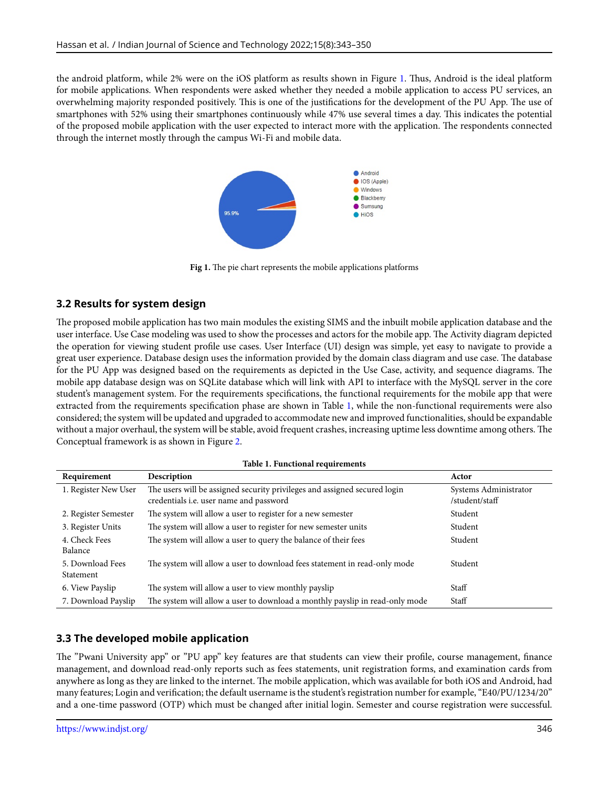<span id="page-3-0"></span>the android platform, while 2% were on the iOS platform as results shown in Figure [1.](#page-3-0) Thus, Android is the ideal platform for mobile applications. When respondents were asked whether they needed a mobile application to access PU services, an overwhelming majority responded positively. This is one of the justifications for the development of the PU App. The use of smartphones with 52% using their smartphones continuously while 47% use several times a day. This indicates the potential of the proposed mobile application with the user expected to interact more with the application. The respondents connected through the internet mostly through the campus Wi-Fi and mobile data.



**Fig 1.** The pie chart represents the mobile applications platforms

### **3.2 Results for system design**

The proposed mobile application has two main modules the existing SIMS and the inbuilt mobile application database and the user interface. Use Case modeling was used to show the processes and actors for the mobile app. The Activity diagram depicted the operation for viewing student profile use cases. User Interface (UI) design was simple, yet easy to navigate to provide a great user experience. Database design uses the information provided by the domain class diagram and use case. The database for the PU App was designed based on the requirements as depicted in the Use Case, activity, and sequence diagrams. The mobile app database design was on SQLite database which will link with API to interface with the MySQL server in the core student's management system. For the requirements specifications, the functional requirements for the mobile app that were extracted from the requirements specification phase are shown in Table [1](#page-3-1), while the non-functional requirements were also considered; the system will be updated and upgraded to accommodate new and improved functionalities, should be expandable without a major overhaul, the system will be stable, avoid frequent crashes, increasing uptime less downtime among others. The Conceptual framework is as shown in Figure [2](#page-4-0).

|  |  | Table 1. Functional requirements |
|--|--|----------------------------------|
|--|--|----------------------------------|

<span id="page-3-1"></span>

| Requirement                   | Description                                                                                                          | Actor                                   |
|-------------------------------|----------------------------------------------------------------------------------------------------------------------|-----------------------------------------|
| 1. Register New User          | The users will be assigned security privileges and assigned secured login<br>credentials i.e. user name and password | Systems Administrator<br>/student/staff |
| 2. Register Semester          | The system will allow a user to register for a new semester                                                          | Student                                 |
| 3. Register Units             | The system will allow a user to register for new semester units                                                      | Student                                 |
| 4. Check Fees<br>Balance      | The system will allow a user to query the balance of their fees                                                      | Student                                 |
| 5. Download Fees<br>Statement | The system will allow a user to download fees statement in read-only mode                                            | Student                                 |
| 6. View Payslip               | The system will allow a user to view monthly payslip                                                                 | Staff                                   |
| 7. Download Payslip           | The system will allow a user to download a monthly payslip in read-only mode                                         | Staff                                   |

# **3.3 The developed mobile application**

The "Pwani University app" or "PU app" key features are that students can view their profile, course management, finance management, and download read-only reports such as fees statements, unit registration forms, and examination cards from anywhere as long as they are linked to the internet. The mobile application, which was available for both iOS and Android, had many features; Login and verification; the default username is the student's registration number for example, "E40/PU/1234/20" and a one-time password (OTP) which must be changed after initial login. Semester and course registration were successful.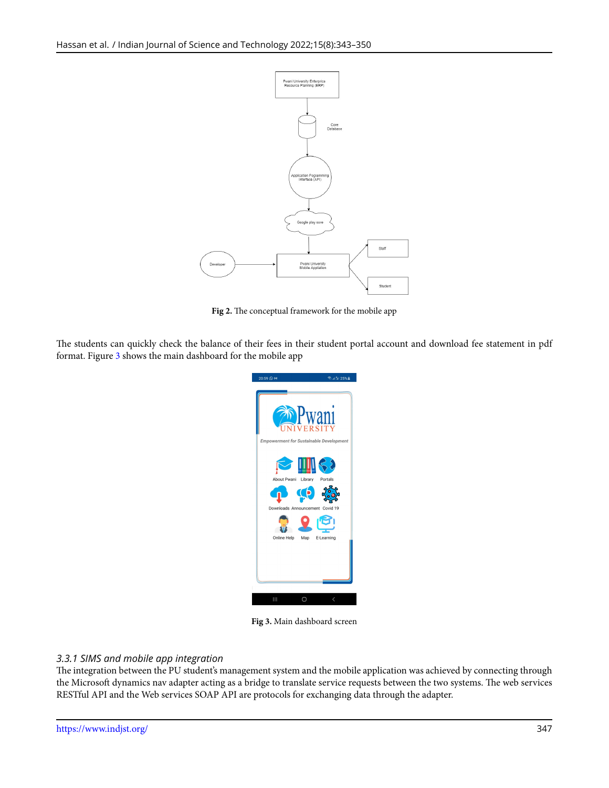<span id="page-4-0"></span>

**Fig 2.** The conceptual framework for the mobile app

<span id="page-4-1"></span>The students can quickly check the balance of their fees in their student portal account and download fee statement in pdf format. Figure [3](#page-4-1) shows the main dashboard for the mobile app



**Fig 3.** Main dashboard screen

### *3.3.1 SIMS and mobile app integration*

The integration between the PU student's management system and the mobile application was achieved by connecting through the Microsoft dynamics nav adapter acting as a bridge to translate service requests between the two systems. The web services RESTful API and the Web services SOAP API are protocols for exchanging data through the adapter.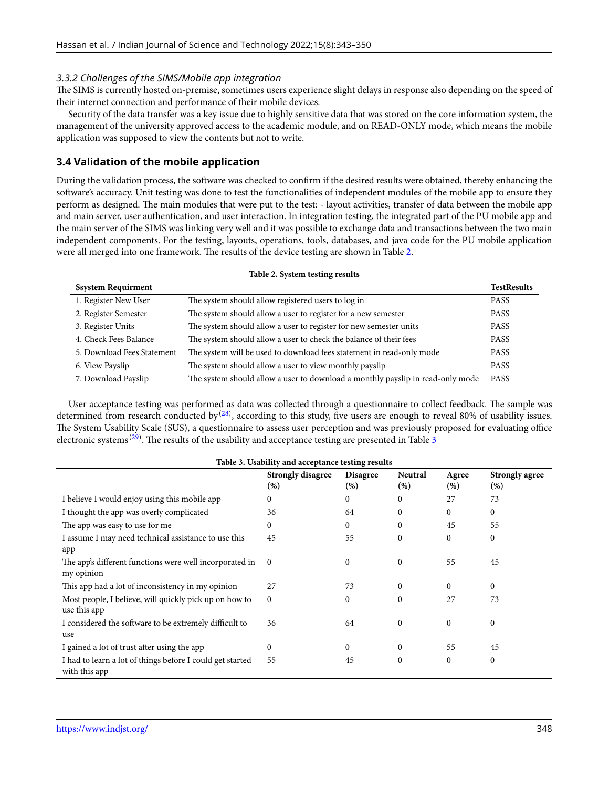#### *3.3.2 Challenges of the SIMS/Mobile app integration*

The SIMS is currently hosted on-premise, sometimes users experience slight delays in response also depending on the speed of their internet connection and performance of their mobile devices.

Security of the data transfer was a key issue due to highly sensitive data that was stored on the core information system, the management of the university approved access to the academic module, and on READ-ONLY mode, which means the mobile application was supposed to view the contents but not to write.

### **3.4 Validation of the mobile application**

During the validation process, the software was checked to confirm if the desired results were obtained, thereby enhancing the software's accuracy. Unit testing was done to test the functionalities of independent modules of the mobile app to ensure they perform as designed. The main modules that were put to the test: - layout activities, transfer of data between the mobile app and main server, user authentication, and user interaction. In integration testing, the integrated part of the PU mobile app and the main server of the SIMS was linking very well and it was possible to exchange data and transactions between the two main independent components. For the testing, layouts, operations, tools, databases, and java code for the PU mobile application were all merged into one framework. The results of the device testing are shown in Table [2](#page-5-0).

<span id="page-5-0"></span>

| Table 2. System testing results |                                                                                |                    |  |  |  |
|---------------------------------|--------------------------------------------------------------------------------|--------------------|--|--|--|
| <b>Ssystem Requirment</b>       |                                                                                | <b>TestResults</b> |  |  |  |
| 1. Register New User            | The system should allow registered users to log in                             | <b>PASS</b>        |  |  |  |
| 2. Register Semester            | The system should allow a user to register for a new semester                  | <b>PASS</b>        |  |  |  |
| 3. Register Units               | The system should allow a user to register for new semester units              | <b>PASS</b>        |  |  |  |
| 4. Check Fees Balance           | The system should allow a user to check the balance of their fees              | <b>PASS</b>        |  |  |  |
| 5. Download Fees Statement      | The system will be used to download fees statement in read-only mode           | <b>PASS</b>        |  |  |  |
| 6. View Payslip                 | The system should allow a user to view monthly payslip                         | <b>PASS</b>        |  |  |  |
| 7. Download Payslip             | The system should allow a user to download a monthly payslip in read-only mode | <b>PASS</b>        |  |  |  |

User acceptance testing was performed as data was collected through a questionnaire to collect feedback. The sample was determined from research conducted by  $^{(28)}$  $^{(28)}$  $^{(28)}$ , according to this study, five users are enough to reveal 80% of usability issues. The System Usability Scale (SUS), a questionnaire to assess user perception and was previously proposed for evaluating office electronic systems  $^{(29)}$  $^{(29)}$  $^{(29)}$ . The results of the usability and acceptance testing are presented in Table [3](#page-5-1)

<span id="page-5-1"></span>

| Table 5. Osability and acceptance testing results         |                                 |                           |                       |              |                       |  |  |  |  |
|-----------------------------------------------------------|---------------------------------|---------------------------|-----------------------|--------------|-----------------------|--|--|--|--|
|                                                           | <b>Strongly disagree</b><br>(%) | <b>Disagree</b><br>$(\%)$ | <b>Neutral</b><br>(%) | Agree<br>(%) | Strongly agree<br>(%) |  |  |  |  |
|                                                           |                                 |                           |                       |              |                       |  |  |  |  |
| I believe I would enjoy using this mobile app             | 0                               | $\theta$                  | $\Omega$              | 27           | 73                    |  |  |  |  |
| I thought the app was overly complicated                  | 36                              | 64                        | $\Omega$              | 0            | $\mathbf{0}$          |  |  |  |  |
| The app was easy to use for me                            | 0                               | $\theta$                  | $\Omega$              | 45           | 55                    |  |  |  |  |
| I assume I may need technical assistance to use this      | 45                              | 55                        | $\mathbf{0}$          | $\mathbf{0}$ | $\mathbf{0}$          |  |  |  |  |
| app                                                       |                                 |                           |                       |              |                       |  |  |  |  |
| The app's different functions were well incorporated in   | $\Omega$                        | $\Omega$                  | $\Omega$              | 55           | 45                    |  |  |  |  |
| my opinion                                                |                                 |                           |                       |              |                       |  |  |  |  |
| This app had a lot of inconsistency in my opinion         | 27                              | 73                        | $\Omega$              | $\Omega$     | $\Omega$              |  |  |  |  |
| Most people, I believe, will quickly pick up on how to    | $\mathbf{0}$                    | $\theta$                  | $\mathbf{0}$          | 27           | 73                    |  |  |  |  |
| use this app                                              |                                 |                           |                       |              |                       |  |  |  |  |
| I considered the software to be extremely difficult to    | 36                              | 64                        | $\mathbf{0}$          | 0            | $\mathbf{0}$          |  |  |  |  |
| use                                                       |                                 |                           |                       |              |                       |  |  |  |  |
| I gained a lot of trust after using the app               | $\mathbf{0}$                    | $\theta$                  | $\mathbf{0}$          | 55           | 45                    |  |  |  |  |
| I had to learn a lot of things before I could get started | 55                              | 45                        | $\mathbf{0}$          | $\Omega$     | $\mathbf{0}$          |  |  |  |  |
| with this app                                             |                                 |                           |                       |              |                       |  |  |  |  |

### **Table 3. Usability and acceptance testing results**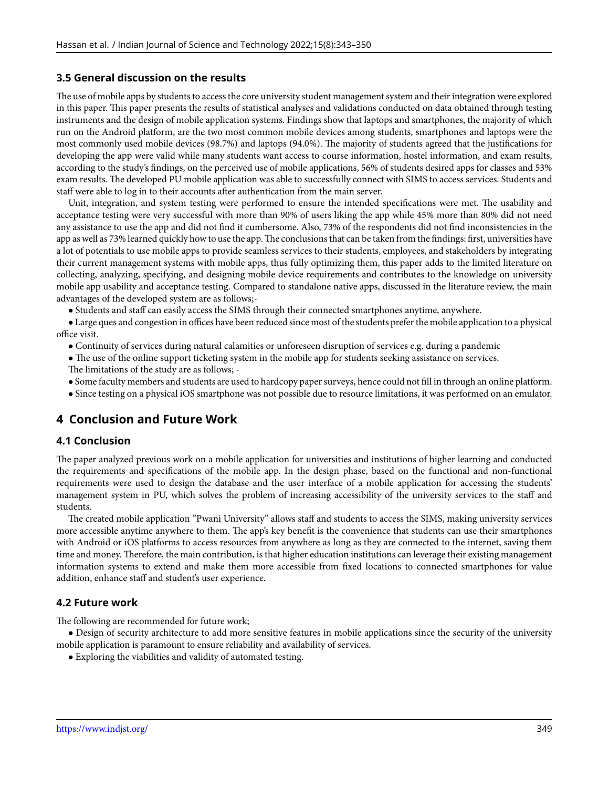### **3.5 General discussion on the results**

The use of mobile apps by students to access the core university student management system and their integration were explored in this paper. This paper presents the results of statistical analyses and validations conducted on data obtained through testing instruments and the design of mobile application systems. Findings show that laptops and smartphones, the majority of which run on the Android platform, are the two most common mobile devices among students, smartphones and laptops were the most commonly used mobile devices (98.7%) and laptops (94.0%). The majority of students agreed that the justifications for developing the app were valid while many students want access to course information, hostel information, and exam results, according to the study's findings, on the perceived use of mobile applications, 56% of students desired apps for classes and 53% exam results. The developed PU mobile application was able to successfully connect with SIMS to access services. Students and staff were able to log in to their accounts after authentication from the main server.

Unit, integration, and system testing were performed to ensure the intended specifications were met. The usability and acceptance testing were very successful with more than 90% of users liking the app while 45% more than 80% did not need any assistance to use the app and did not find it cumbersome. Also, 73% of the respondents did not find inconsistencies in the app as well as 73% learned quickly how to use the app.The conclusions that can be taken from the findings: first, universities have a lot of potentials to use mobile apps to provide seamless services to their students, employees, and stakeholders by integrating their current management systems with mobile apps, thus fully optimizing them, this paper adds to the limited literature on collecting, analyzing, specifying, and designing mobile device requirements and contributes to the knowledge on university mobile app usability and acceptance testing. Compared to standalone native apps, discussed in the literature review, the main advantages of the developed system are as follows;-

*•* Students and staff can easily access the SIMS through their connected smartphones anytime, anywhere.

*•* Large ques and congestion in offices have been reduced since most of the students prefer the mobile application to a physical office visit.

- Continuity of services during natural calamities or unforeseen disruption of services e.g. during a pandemic
- The use of the online support ticketing system in the mobile app for students seeking assistance on services. The limitations of the study are as follows; -
- *•* Some faculty members and students are used to hardcopy paper surveys, hence could not fill in through an online platform.
- *•* Since testing on a physical iOS smartphone was not possible due to resource limitations, it was performed on an emulator.

### **4 Conclusion and Future Work**

### **4.1 Conclusion**

The paper analyzed previous work on a mobile application for universities and institutions of higher learning and conducted the requirements and specifications of the mobile app. In the design phase, based on the functional and non-functional requirements were used to design the database and the user interface of a mobile application for accessing the students' management system in PU, which solves the problem of increasing accessibility of the university services to the staff and students.

The created mobile application "Pwani University" allows staff and students to access the SIMS, making university services more accessible anytime anywhere to them. The app's key benefit is the convenience that students can use their smartphones with Android or iOS platforms to access resources from anywhere as long as they are connected to the internet, saving them time and money. Therefore, the main contribution, is that higher education institutions can leverage their existing management information systems to extend and make them more accessible from fixed locations to connected smartphones for value addition, enhance staff and student's user experience.

#### **4.2 Future work**

The following are recommended for future work;

• Design of security architecture to add more sensitive features in mobile applications since the security of the university mobile application is paramount to ensure reliability and availability of services.

*•* Exploring the viabilities and validity of automated testing.